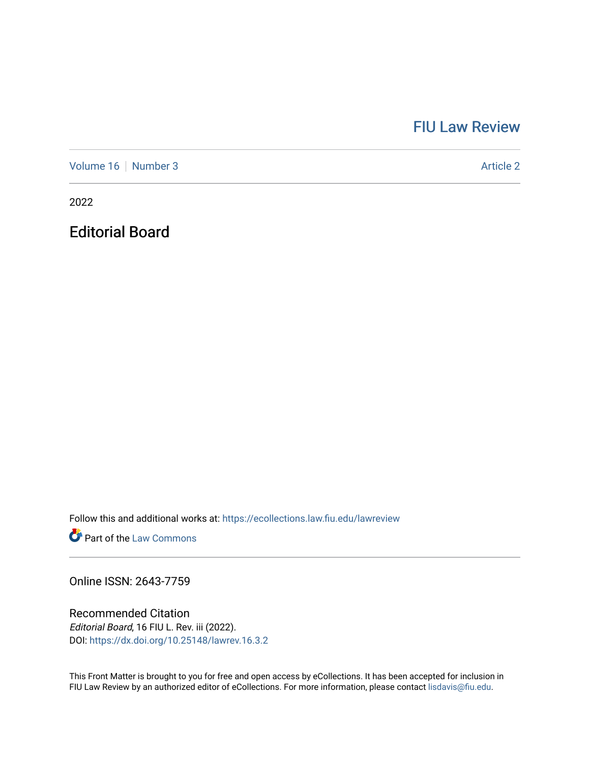## [FIU Law Review](https://ecollections.law.fiu.edu/lawreview)

[Volume 16](https://ecollections.law.fiu.edu/lawreview/vol16) [Number 3](https://ecollections.law.fiu.edu/lawreview/vol16/iss3) Article 2

2022

Editorial Board

Follow this and additional works at: [https://ecollections.law.fiu.edu/lawreview](https://ecollections.law.fiu.edu/lawreview?utm_source=ecollections.law.fiu.edu%2Flawreview%2Fvol16%2Fiss3%2F2&utm_medium=PDF&utm_campaign=PDFCoverPages)

**Part of the [Law Commons](https://network.bepress.com/hgg/discipline/578?utm_source=ecollections.law.fiu.edu%2Flawreview%2Fvol16%2Fiss3%2F2&utm_medium=PDF&utm_campaign=PDFCoverPages)** 

Online ISSN: 2643-7759

Recommended Citation Editorial Board, 16 FIU L. Rev. iii (2022). DOI:<https://dx.doi.org/10.25148/lawrev.16.3.2>

This Front Matter is brought to you for free and open access by eCollections. It has been accepted for inclusion in FIU Law Review by an authorized editor of eCollections. For more information, please contact [lisdavis@fiu.edu.](mailto:lisdavis@fiu.edu)